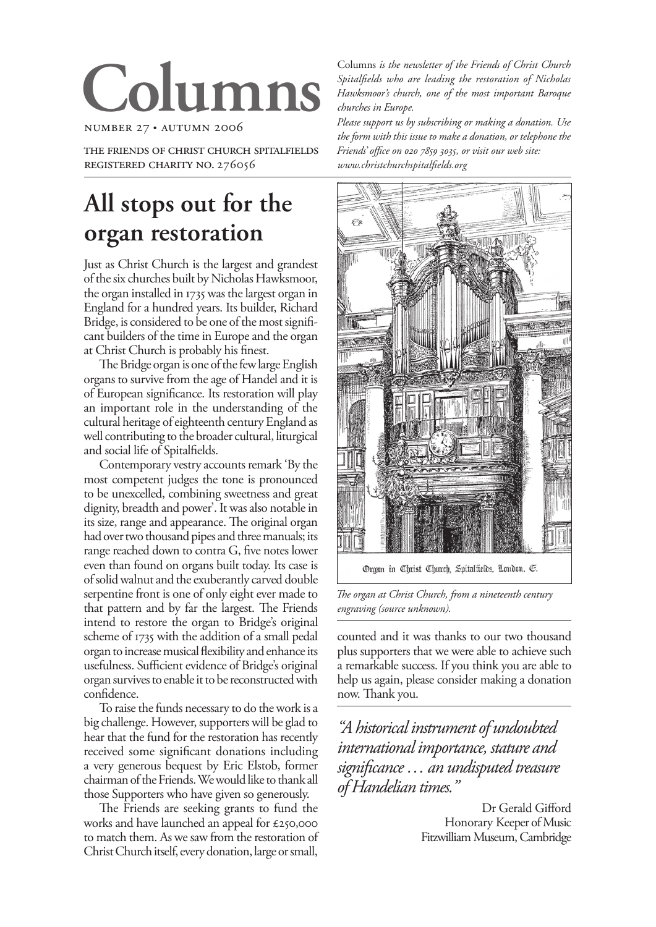# **Columns**

NUMBER 27 AUTUMN 2006

THE FRIENDS OF CHRIST CHURCH SPITALFIELDS REGISTERED CHARITY NO. 276056

# **All stops out for the organ restoration**

Just as Christ Church is the largest and grandest of the six churches built by Nicholas Hawksmoor, the organ installed in 735 was the largest organ in England for a hundred years. Its builder, Richard Bridge, is considered to be one of the most significant builders of the time in Europe and the organ at Christ Church is probably his finest.

The Bridge organ is one of the few large English organs to survive from the age of Handel and it is of European significance. Its restoration will play an important role in the understanding of the cultural heritage of eighteenth century England as well contributing to the broader cultural, liturgical and social life of Spitalfields.

Contemporary vestry accounts remark 'By the most competent judges the tone is pronounced to be unexcelled, combining sweetness and great dignity, breadth and power'. It was also notable in its size, range and appearance. The original organ had over two thousand pipes and three manuals; its range reached down to contra G, five notes lower even than found on organs built today. Its case is of solid walnut and the exuberantly carved double serpentine front is one of only eight ever made to that pattern and by far the largest. The Friends intend to restore the organ to Bridge's original scheme of 1735 with the addition of a small pedal organ to increase musical flexibility and enhance its usefulness. Sufficient evidence of Bridge's original organ survives to enable it to be reconstructed with confidence.

To raise the funds necessary to do the work is a big challenge. However, supporters will be glad to hear that the fund for the restoration has recently received some significant donations including a very generous bequest by Eric Elstob, former chairman of the Friends. We would like to thank all those Supporters who have given so generously.

The Friends are seeking grants to fund the works and have launched an appeal for £250,000 to match them. As we saw from the restoration of Christ Church itself, every donation, large or small,

Columns *is the newsletter of the Friends of Christ Church Spitalfields who are leading the restoration of Nicholas Hawksmoor's church, one of the most important Baroque churches in Europe.*

*Please support us by subscribing or making a donation. Use the form with this issue to make a donation, or telephone the Friends' office on 020 7859 3035, or visit our web site: www.christchurchspitalfields.org*



*The organ at Christ Church, from a nineteenth century engraving (source unknown).*

counted and it was thanks to our two thousand plus supporters that we were able to achieve such a remarkable success. If you think you are able to help us again, please consider making a donation now. Thank you.

*"A historical instrument of undoubted international importance, stature and significance … an undisputed treasure of Handelian times."* 

> Dr Gerald Gifford Honorary Keeper of Music Fitzwilliam Museum, Cambridge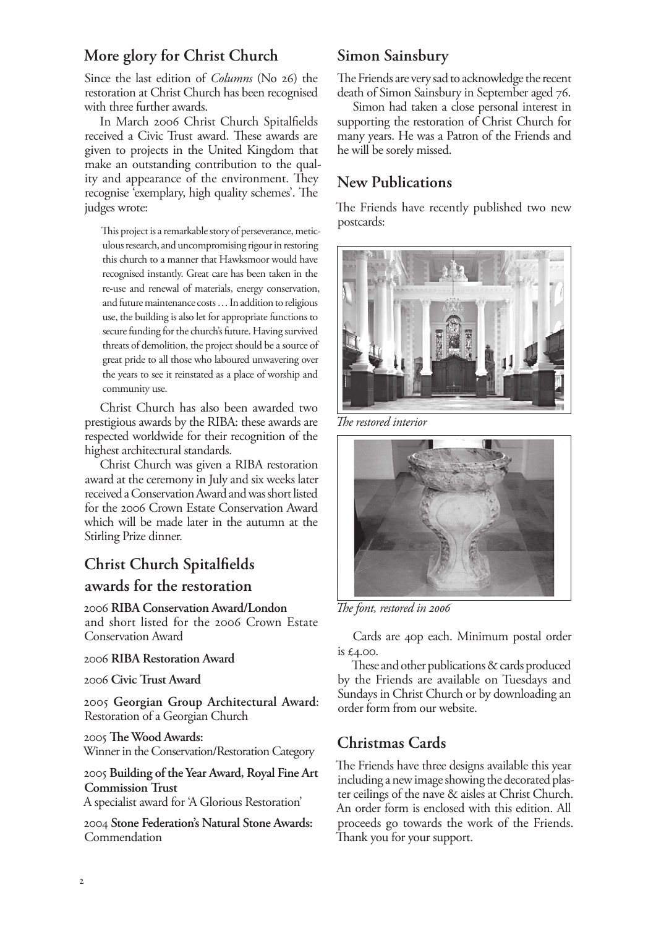### **More glory for Christ Church**

Since the last edition of *Columns* (No 26) the restoration at Christ Church has been recognised with three further awards.

In March 2006 Christ Church Spitalfields received a Civic Trust award. These awards are given to projects in the United Kingdom that make an outstanding contribution to the quality and appearance of the environment. They recognise 'exemplary, high quality schemes'. The judges wrote:

This project is a remarkable story of perseverance, meticulous research, and uncompromising rigour in restoring this church to a manner that Hawksmoor would have recognised instantly. Great care has been taken in the re-use and renewal of materials, energy conservation, and future maintenance costs …In addition to religious use, the building is also let for appropriate functions to secure funding for the church's future. Having survived threats of demolition, the project should be a source of great pride to all those who laboured unwavering over the years to see it reinstated as a place of worship and community use.

Christ Church has also been awarded two prestigious awards by the RIBA: these awards are respected worldwide for their recognition of the highest architectural standards.

Christ Church was given a RIBA restoration award at the ceremony in July and six weeks later received a Conservation Award and was short listed for the 2006 Crown Estate Conservation Award which will be made later in the autumn at the Stirling Prize dinner.

# **Christ Church Spitalfields awards for the restoration**

2006 **RIBA Conservation Award/London** and short listed for the 2006 Crown Estate Conservation Award

#### 2006 **RIBA Restoration Award**

2006 **Civic Trust Award**

2005 **Georgian Group Architectural Award**: Restoration of a Georgian Church

2005 **The Wood Awards:** Winner in the Conservation/Restoration Category

2005 **Building of the Year Award, Royal Fine Art Commission Trust**

A specialist award for 'A Glorious Restoration'

2004 **Stone Federation's Natural Stone Awards:** Commendation

### **Simon Sainsbury**

The Friends are very sad to acknowledge the recent death of Simon Sainsbury in September aged 76.

Simon had taken a close personal interest in supporting the restoration of Christ Church for many years. He was a Patron of the Friends and he will be sorely missed.

## **New Publications**

The Friends have recently published two new postcards:



*The restored interior*



*The font, restored in 2006*

Cards are 40p each. Minimum postal order is £4.00.

These and other publications & cards produced by the Friends are available on Tuesdays and Sundays in Christ Church or by downloading an order form from our website.

### **Christmas Cards**

The Friends have three designs available this year including a new image showing the decorated plaster ceilings of the nave & aisles at Christ Church. An order form is enclosed with this edition. All proceeds go towards the work of the Friends. Thank you for your support.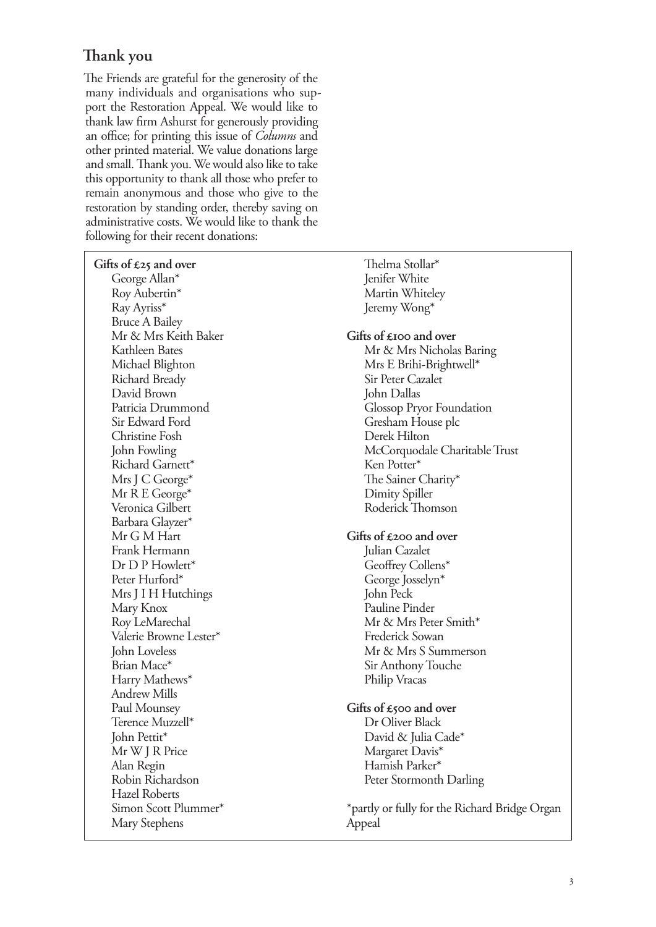# **Thank you**

The Friends are grateful for the generosity of the many individuals and organisations who support the Restoration Appeal. We would like to thank law firm Ashurst for generously providing an office; for printing this issue of *Columns* and other printed material. We value donations large and small. Thank you. We would also like to take this opportunity to thank all those who prefer to remain anonymous and those who give to the restoration by standing order, thereby saving on administrative costs. We would like to thank the following for their recent donations:

| Gifts of $\pounds 25$ and over | Thelma Stollar*                               |
|--------------------------------|-----------------------------------------------|
| George Allan*                  | Jenifer White                                 |
| Roy Aubertin*                  | Martin Whiteley                               |
| Ray Ayriss*                    | Jeremy Wong*                                  |
| <b>Bruce A Bailey</b>          |                                               |
| Mr & Mrs Keith Baker           | Gifts of £100 and over                        |
| Kathleen Bates                 | Mr & Mrs Nicholas Baring                      |
| Michael Blighton               | Mrs E Brihi-Brightwell*                       |
| Richard Bready                 | Sir Peter Cazalet                             |
| David Brown                    | John Dallas                                   |
| Patricia Drummond              | <b>Glossop Pryor Foundation</b>               |
| Sir Edward Ford                | Gresham House plc                             |
| Christine Fosh                 | Derek Hilton                                  |
| John Fowling                   | McCorquodale Charitable Trust                 |
| Richard Garnett*               | Ken Potter*                                   |
| Mrs J C George*                | The Sainer Charity*                           |
| Mr R E George*                 | Dimity Spiller                                |
| Veronica Gilbert               | Roderick Thomson                              |
| Barbara Glayzer*               |                                               |
| Mr G M Hart                    | Gifts of $\pounds$ 200 and over               |
| Frank Hermann                  | Julian Cazalet                                |
| Dr D P Howlett*                | Geoffrey Collens*                             |
| Peter Hurford*                 | George Josselyn*                              |
| Mrs J I H Hutchings            | John Peck                                     |
| Mary Knox                      | Pauline Pinder                                |
| Roy LeMarechal                 | Mr & Mrs Peter Smith*                         |
| Valerie Browne Lester*         | Frederick Sowan                               |
| John Loveless                  | Mr & Mrs S Summerson                          |
| Brian Mace*                    | Sir Anthony Touche                            |
| Harry Mathews*                 | Philip Vracas                                 |
| <b>Andrew Mills</b>            |                                               |
| Paul Mounsey                   | Gifts of $\epsilon$ 500 and over              |
| Terence Muzzell*               | Dr Oliver Black                               |
| John Pettit*                   | David & Julia Cade*                           |
| Mr W J R Price                 | Margaret Davis*                               |
| Alan Regin                     | Hamish Parker*                                |
| Robin Richardson               | Peter Stormonth Darling                       |
| <b>Hazel Roberts</b>           |                                               |
| Simon Scott Plummer*           | *partly or fully for the Richard Bridge Organ |
| Mary Stephens                  | Appeal                                        |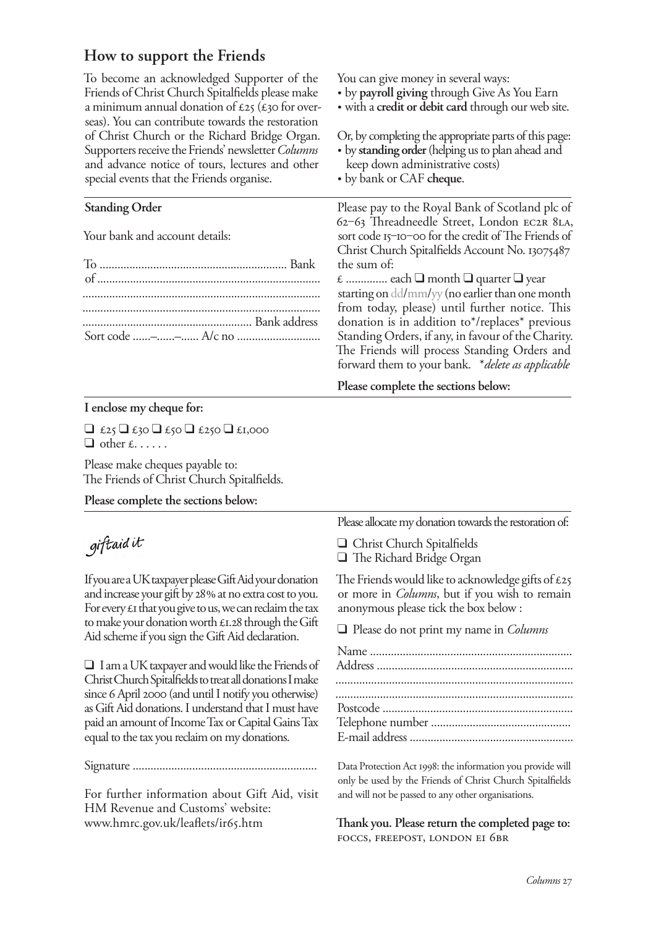### **How to support the Friends**

To become an acknowledged Supporter of the Friends of Christ Church Spitalfields please make a minimum annual donation of  $\mathcal{L}25$  ( $\mathcal{L}30$  for overseas). You can contribute towards the restoration of Christ Church or the Richard Bridge Organ. Supporters receive the Friends' newsletter *Columns*  and advance notice of tours, lectures and other special events that the Friends organise. **Standing Order** Your bank and account details: To ............................................................... Bank of ........................................................................... ................................................................................ ................................................................................ ......................................................... Bank address Sort code ......–......–...... A/c no ............................ You can give money in several ways: by **payroll giving** through Give As You Earn with a **credit or debit card** through our web site. Or, by completing the appropriate parts of this page: by **standing order** (helping us to plan ahead and keep down administrative costs) by bank or CAF **cheque**. Please pay to the Royal Bank of Scotland plc of 62‒63 Threadneedle Street, London EC2R 8LA, sort code 15–10–00 for the credit of The Friends of Christ Church Spitalfields Account No. 13075487 the sum of: £ .............. each ❑ month ❑ quarter ❑ year starting on dd/mm/yy (no earlier than one month from today, please) until further notice. This donation is in addition to\*/replaces\* previous Standing Orders, if any, in favour of the Charity. The Friends will process Standing Orders and forward them to your bank. \**delete as applicable* **Please complete the sections below:**

#### **I enclose my cheque for:**

 $\Box$  £25  $\Box$  £30  $\Box$  £250  $\Box$  £1,000  $\Box$  other £......

Please make cheques payable to: The Friends of Christ Church Spitalfields.

**Please complete the sections below:**

# giftaid it

If you are a UK taxpayer please Gift Aid your donation and increase your gift by 28% at no extra cost to you. For every  $\epsilon$  that you give to us, we can reclaim the tax to make your donation worth  $\pounds$ 1.28 through the Gift Aid scheme if you sign the Gift Aid declaration.

❑ I am a UK taxpayer and would like the Friends of Christ Church Spitalfields to treat all donations I make since 6 April 2000 (and until I notify you otherwise) as Gift Aid donations. I understand that I must have paid an amount of Income Tax or Capital Gains Tax equal to the tax you reclaim on my donations.

Signature ..............................................................

For further information about Gift Aid, visit HM Revenue and Customs' website: www.hmrc.gov.uk/leaflets/ir65.htm

Please allocate my donation towards the restoration of:

❑ Christ Church Spitalfields ❑ The Richard Bridge Organ

The Friends would like to acknowledge gifts of  $\epsilon$ 25 or more in *Columns*, but if you wish to remain anonymous please tick the box below :

❑ Please do not print my name in *Columns*

Data Protection Act 1998: the information you provide will only be used by the Friends of Christ Church Spitalfields and will not be passed to any other organisations.

**Thank you. Please return the completed page to:** FOCCS, FREEPOST, LONDON EI 6BR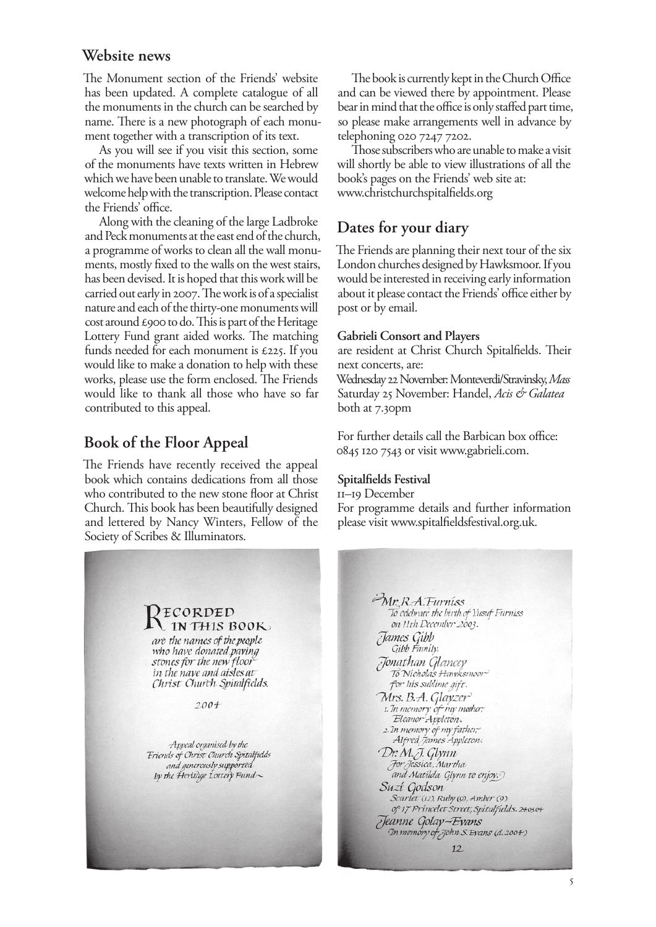#### **Website news**

The Monument section of the Friends' website has been updated. A complete catalogue of all the monuments in the church can be searched by name. There is a new photograph of each monument together with a transcription of its text.

As you will see if you visit this section, some of the monuments have texts written in Hebrew which we have been unable to translate. We would welcome help with the transcription. Please contact the Friends' office.

Along with the cleaning of the large Ladbroke and Peck monuments at the east end of the church, a programme of works to clean all the wall monuments, mostly fixed to the walls on the west stairs, has been devised. It is hoped that this work will be carried out early in 2007. The work is of a specialist nature and each of the thirty-one monuments will cost around £900 to do. This is part of the Heritage Lottery Fund grant aided works. The matching funds needed for each monument is £225. If you would like to make a donation to help with these works, please use the form enclosed. The Friends would like to thank all those who have so far contributed to this appeal.

#### **Book of the Floor Appeal**

The Friends have recently received the appeal book which contains dedications from all those who contributed to the new stone floor at Christ Church. This book has been beautifully designed and lettered by Nancy Winters, Fellow of the Society of Scribes & Illuminators.

The book is currently kept in the Church Office and can be viewed there by appointment. Please bear in mind that the office is only staffed part time, so please make arrangements well in advance by telephoning 020 7247 7202.

Those subscribers who are unable to make a visit will shortly be able to view illustrations of all the book's pages on the Friends' web site at: www.christchurchspitalfields.org

#### **Dates for your diary**

The Friends are planning their next tour of the six London churches designed by Hawksmoor. If you would be interested in receiving early information about it please contact the Friends' office either by post or by email.

#### **Gabrieli Consort and Players**

are resident at Christ Church Spitalfields. Their next concerts, are:

Wednesday 22 November: Monteverdi/Stravinsky, *Mass* Saturday 25 November: Handel, *Acis & Galatea* both at 7.30pm

For further details call the Barbican box office: 0845 20 7543 or visit www.gabrieli.com.

#### **Spitalfields Festival**

–9 December For programme details and further information please visit www.spitalfieldsfestival.org.uk.



Mr. R.A.Furniss To celebrate the birth of Yusuf Furniss on 11th December 2003. James Gibb<br>Gibb Family. Tonathan Glancey To Nicholas Hawksmoor for his sublime gift. Mrs. B.A. Glayzer 1. In memory of my mother, Eleanor Appleton. 2. In memory of my father,<br>Alfred James Appleton. Dr. M.J. Glynn For Jessica, Martha and Matilda Glynn to enjoy. Suzí Godson Scarlet (12), Ruby (9), Amber (9) of 17 Princelet Street, Spitalfields. 24.03.04 Teanne Golay-Evans In memory of John S. Evans (d. 2004)  $12$